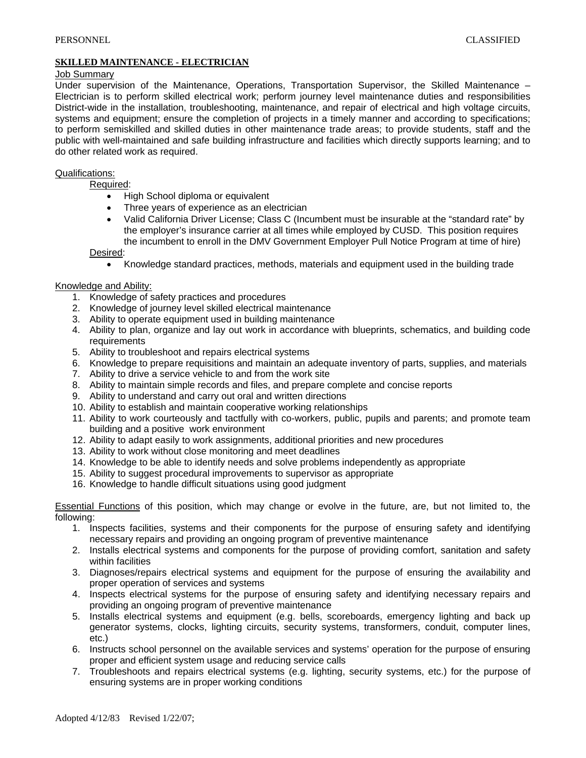# **SKILLED MAINTENANCE - ELECTRICIAN**

## Job Summary

Under supervision of the Maintenance, Operations, Transportation Supervisor, the Skilled Maintenance – Electrician is to perform skilled electrical work; perform journey level maintenance duties and responsibilities District-wide in the installation, troubleshooting, maintenance, and repair of electrical and high voltage circuits, systems and equipment; ensure the completion of projects in a timely manner and according to specifications; to perform semiskilled and skilled duties in other maintenance trade areas; to provide students, staff and the public with well-maintained and safe building infrastructure and facilities which directly supports learning; and to do other related work as required.

## Qualifications:

Required:

- High School diploma or equivalent
- Three years of experience as an electrician
- Valid California Driver License; Class C (Incumbent must be insurable at the "standard rate" by the employer's insurance carrier at all times while employed by CUSD. This position requires the incumbent to enroll in the DMV Government Employer Pull Notice Program at time of hire)

Desired:

• Knowledge standard practices, methods, materials and equipment used in the building trade

#### Knowledge and Ability:

- 1. Knowledge of safety practices and procedures
- 2. Knowledge of journey level skilled electrical maintenance
- 3. Ability to operate equipment used in building maintenance
- 4. Ability to plan, organize and lay out work in accordance with blueprints, schematics, and building code requirements
- 5. Ability to troubleshoot and repairs electrical systems
- 6. Knowledge to prepare requisitions and maintain an adequate inventory of parts, supplies, and materials
- 7. Ability to drive a service vehicle to and from the work site
- 8. Ability to maintain simple records and files, and prepare complete and concise reports
- 9. Ability to understand and carry out oral and written directions
- 10. Ability to establish and maintain cooperative working relationships
- 11. Ability to work courteously and tactfully with co-workers, public, pupils and parents; and promote team building and a positive work environment
- 12. Ability to adapt easily to work assignments, additional priorities and new procedures
- 13. Ability to work without close monitoring and meet deadlines
- 14. Knowledge to be able to identify needs and solve problems independently as appropriate
- 15. Ability to suggest procedural improvements to supervisor as appropriate
- 16. Knowledge to handle difficult situations using good judgment

Essential Functions of this position, which may change or evolve in the future, are, but not limited to, the following:

- 1. Inspects facilities, systems and their components for the purpose of ensuring safety and identifying necessary repairs and providing an ongoing program of preventive maintenance
- 2. Installs electrical systems and components for the purpose of providing comfort, sanitation and safety within facilities
- 3. Diagnoses/repairs electrical systems and equipment for the purpose of ensuring the availability and proper operation of services and systems
- 4. Inspects electrical systems for the purpose of ensuring safety and identifying necessary repairs and providing an ongoing program of preventive maintenance
- 5. Installs electrical systems and equipment (e.g. bells, scoreboards, emergency lighting and back up generator systems, clocks, lighting circuits, security systems, transformers, conduit, computer lines, etc.)
- 6. Instructs school personnel on the available services and systems' operation for the purpose of ensuring proper and efficient system usage and reducing service calls
- 7. Troubleshoots and repairs electrical systems (e.g. lighting, security systems, etc.) for the purpose of ensuring systems are in proper working conditions